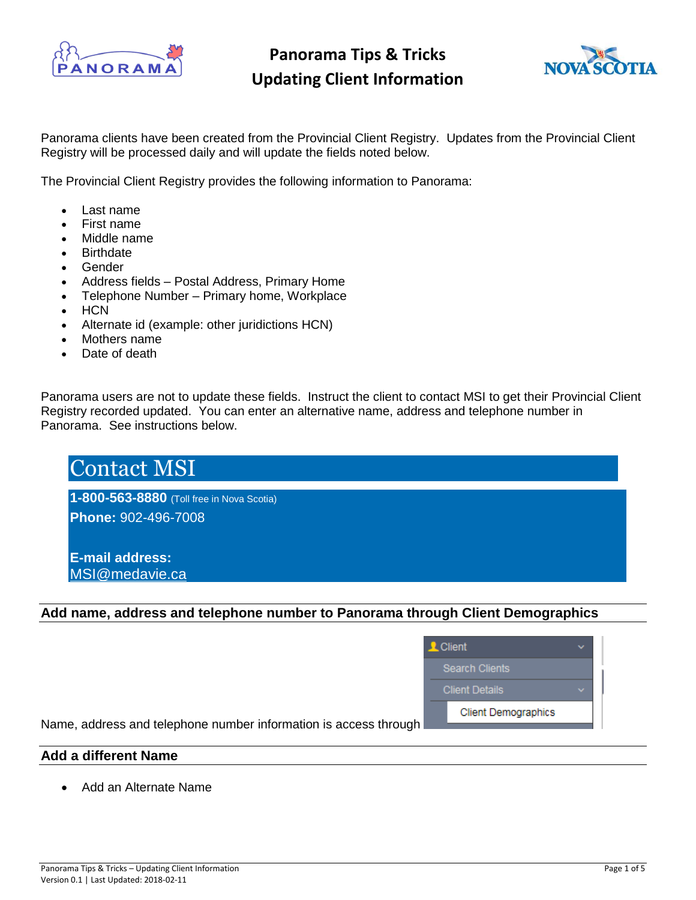



#### Panorama clients have been created from the Provincial Client Registry. Updates from the Provincial Client Registry will be processed daily and will update the fields noted below.

The Provincial Client Registry provides the following information to Panorama:

- Last name
- First name
- Middle name
- **Birthdate**
- Gender
- Address fields Postal Address, Primary Home
- Telephone Number Primary home, Workplace
- HCN
- Alternate id (example: other juridictions HCN)
- Mothers name
- Date of death

Panorama users are not to update these fields. Instruct the client to contact MSI to get their Provincial Client Registry recorded updated. You can enter an alternative name, address and telephone number in Panorama. See instructions below.

| <b>Contact MSI</b>                        |  |  |
|-------------------------------------------|--|--|
| 1-800-563-8880 (Toll free in Nova Scotia) |  |  |
| Phone: 902-496-7008                       |  |  |
| <b>IE-mail address:</b>                   |  |  |
| MSI@medavie.ca                            |  |  |

#### **Add name, address and telephone number to Panorama through Client Demographics**

| <b>2.</b> Client           |  |  |  |  |  |
|----------------------------|--|--|--|--|--|
| <b>Search Clients</b>      |  |  |  |  |  |
| <b>Client Details</b>      |  |  |  |  |  |
| <b>Client Demographics</b> |  |  |  |  |  |

Name, address and telephone number information is access through

### **Add a different Name**

• Add an Alternate Name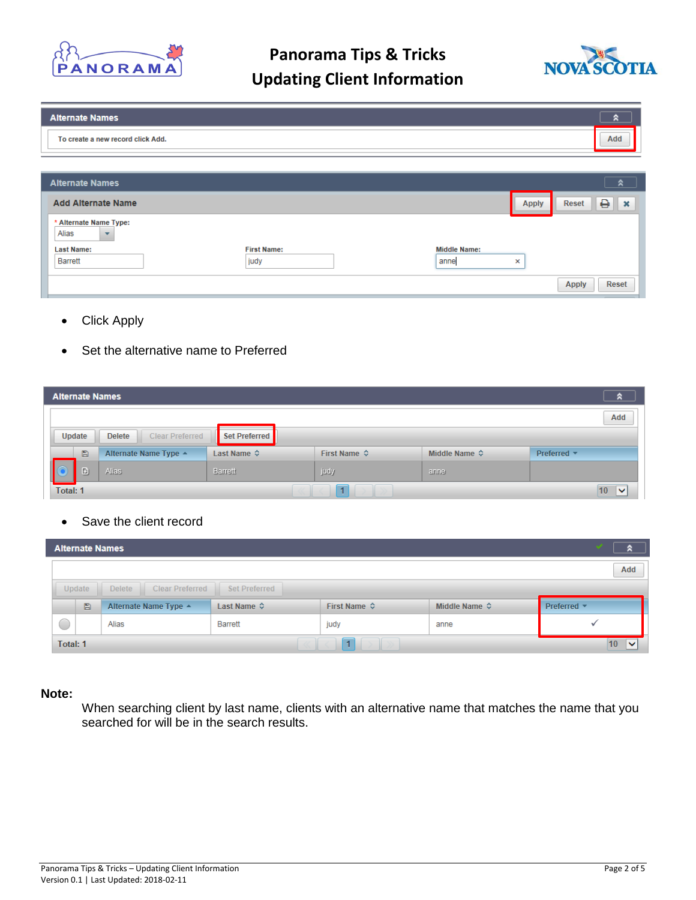



| <b>Alternate Names</b>                                      |                    |                     |              | R                                 |
|-------------------------------------------------------------|--------------------|---------------------|--------------|-----------------------------------|
| To create a new record click Add.                           |                    |                     |              | Add                               |
|                                                             |                    |                     |              |                                   |
| <b>Alternate Names</b>                                      |                    |                     |              | $\hat{z}$                         |
| <b>Add Alternate Name</b>                                   |                    |                     | <b>Apply</b> | 0<br><b>Reset</b><br>$\mathbf{x}$ |
| * Alternate Name Type:<br>Alias<br>$\overline{\phantom{a}}$ |                    |                     |              |                                   |
| <b>Last Name:</b>                                           | <b>First Name:</b> | <b>Middle Name:</b> |              |                                   |
| Barrett                                                     | judy               | anne                | ×            |                                   |
|                                                             |                    |                     |              | <b>Apply</b><br>Reset             |

- **Click Apply**
- Set the alternative name to Preferred

| <b>Alternate Names</b> |                                                          |                                         |               |              |                               |                    |  |  |
|------------------------|----------------------------------------------------------|-----------------------------------------|---------------|--------------|-------------------------------|--------------------|--|--|
| Add                    |                                                          |                                         |               |              |                               |                    |  |  |
|                        | Update                                                   | <b>Clear Preferred</b><br><b>Delete</b> | Set Preferred |              |                               |                    |  |  |
|                        | Last Name ↓<br>$\Box$<br>Alternate Name Type $\triangle$ |                                         |               | First Name ☆ | Middle Name $\Leftrightarrow$ | Preferred *        |  |  |
|                        | Đ                                                        | Alias:                                  | Barrett       | judy         | anne                          |                    |  |  |
| Total: 1               |                                                          |                                         |               | 1            |                               | 10<br>$\checkmark$ |  |  |

Save the client record

|                                                         | œ<br><b>Alternate Names</b>                          |                       |                             |                       |                               |                                |  |  |  |  |
|---------------------------------------------------------|------------------------------------------------------|-----------------------|-----------------------------|-----------------------|-------------------------------|--------------------------------|--|--|--|--|
|                                                         |                                                      |                       |                             |                       |                               |                                |  |  |  |  |
|                                                         | Clear Preferred<br>Set Preferred<br>Update<br>Delete |                       |                             |                       |                               |                                |  |  |  |  |
|                                                         | Ð                                                    | Alternate Name Type ▲ | Last Name $\Leftrightarrow$ | First Name $\Diamond$ | Middle Name $\Leftrightarrow$ | Preferred $\blacktriangledown$ |  |  |  |  |
| <b>Barrett</b><br>Alias<br>judy<br>anne<br>$\checkmark$ |                                                      |                       |                             |                       |                               |                                |  |  |  |  |
| Total: 1<br>10<br>$\checkmark$                          |                                                      |                       |                             |                       |                               |                                |  |  |  |  |

#### **Note:**

When searching client by last name, clients with an alternative name that matches the name that you searched for will be in the search results.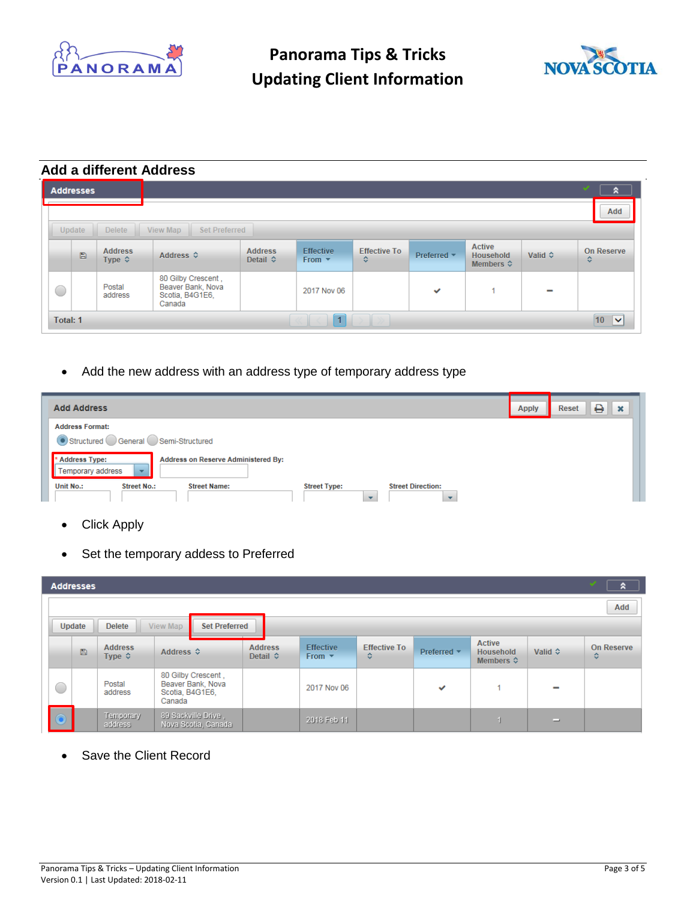



### **Add a different Address**

|   | <b>Addresses</b>                  |                                          |                                                                      |                                     |                                 |                          |              |                                                         |         | $\mathcal{L}$<br>$\hat{\mathbf{z}}$ |
|---|-----------------------------------|------------------------------------------|----------------------------------------------------------------------|-------------------------------------|---------------------------------|--------------------------|--------------|---------------------------------------------------------|---------|-------------------------------------|
|   |                                   |                                          |                                                                      |                                     |                                 |                          |              |                                                         | Add     |                                     |
|   | Update                            | <b>Delete</b>                            | Set Preferred<br>View Map                                            |                                     |                                 |                          |              |                                                         |         |                                     |
|   | 日                                 | <b>Address</b><br>Type $\Leftrightarrow$ | Address ↓                                                            | <b>Address</b><br>Detail $\diamond$ | <b>Effective</b><br>From $\tau$ | <b>Effective To</b><br>٠ | Preferred *  | <b>Active</b><br><b>Household</b><br>Members $\diamond$ | Valid ☆ | <b>On Reserve</b><br>≎              |
| O |                                   | Postal<br>address                        | 80 Gilby Crescent,<br>Beaver Bank, Nova<br>Scotia, B4G1E6,<br>Canada |                                     | 2017 Nov 06                     |                          | $\checkmark$ |                                                         | -       |                                     |
|   | $10$ $\triangleright$<br>Total: 1 |                                          |                                                                      |                                     |                                 |                          |              |                                                         |         |                                     |

• Add the new address with an address type of temporary address type

| <b>Add Address</b>                                                                                                                                                       | <b>Apply</b> | ₿<br>$\mathbf{x}$<br><b>Reset</b> |
|--------------------------------------------------------------------------------------------------------------------------------------------------------------------------|--------------|-----------------------------------|
| <b>Address Format:</b><br>Structured General Semi-Structured                                                                                                             |              |                                   |
| <b>Address Type:</b><br>Address on Reserve Administered By:<br>Temporary address<br>$\overline{\phantom{a}}$                                                             |              |                                   |
| <b>Unit No.:</b><br><b>Street No.:</b><br><b>Street Name:</b><br><b>Street Direction:</b><br><b>Street Type:</b><br>$\overline{\phantom{a}}$<br>$\overline{\phantom{a}}$ |              |                                   |

- **Click Apply**
- Set the temporary addess to Preferred

| v<br><b>Addresses</b> |               |                                       |                                                                      |                                     |                                               |                          |                                |                                                         | я       |                        |
|-----------------------|---------------|---------------------------------------|----------------------------------------------------------------------|-------------------------------------|-----------------------------------------------|--------------------------|--------------------------------|---------------------------------------------------------|---------|------------------------|
|                       |               |                                       |                                                                      |                                     |                                               |                          |                                |                                                         | Add     |                        |
|                       | <b>Update</b> | <b>Delete</b>                         | <b>Set Preferred</b><br>View Map                                     |                                     |                                               |                          |                                |                                                         |         |                        |
|                       | $\Box$        | <b>Address</b><br>Type $\diamondsuit$ | Address ↓                                                            | <b>Address</b><br>Detail $\diamond$ | <b>Effective</b><br>From $\blacktriangledown$ | <b>Effective To</b><br>≎ | Preferred $\blacktriangledown$ | <b>Active</b><br><b>Household</b><br>Members $\diamond$ | Valid ↔ | <b>On Reserve</b><br>≎ |
| 0                     |               | Postal<br>address                     | 80 Gilby Crescent,<br>Beaver Bank, Nova<br>Scotia, B4G1E6,<br>Canada |                                     | 2017 Nov 06                                   |                          | $\checkmark$                   |                                                         |         |                        |
|                       |               | Temporary<br>address                  | 89 Sackville Drive,<br>Nova Scotia, Canada                           |                                     | 2018 Feb 11                                   |                          |                                |                                                         | ▭       |                        |

Save the Client Record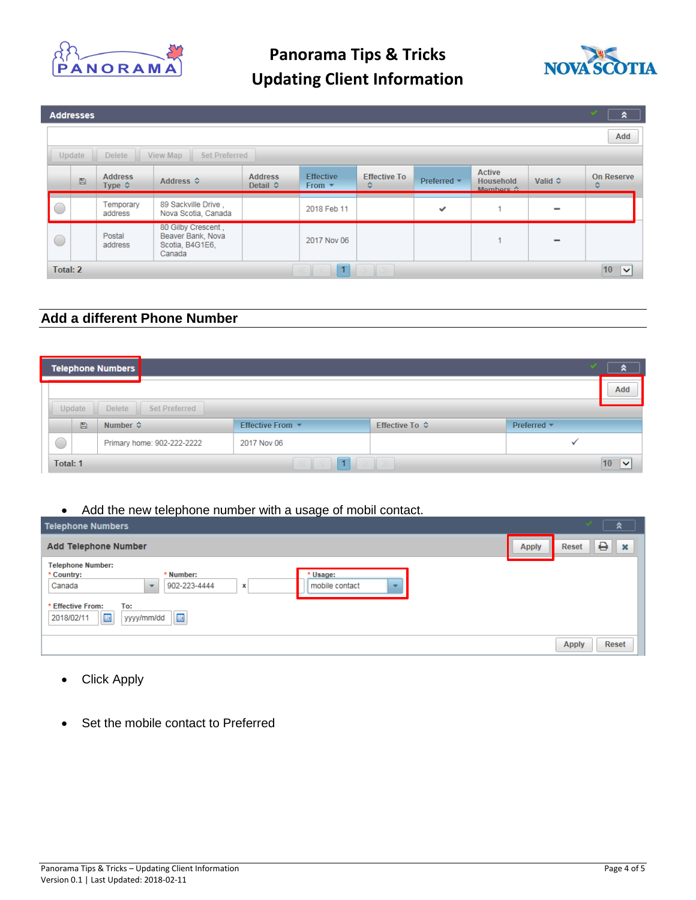



|          | <b>Addresses</b>                                     |                                   |                                                                      |                                     |                                 |                          |                  |                                                |                          | v<br>$\hat{z}$         |
|----------|------------------------------------------------------|-----------------------------------|----------------------------------------------------------------------|-------------------------------------|---------------------------------|--------------------------|------------------|------------------------------------------------|--------------------------|------------------------|
|          |                                                      |                                   |                                                                      |                                     |                                 |                          |                  |                                                |                          | Add                    |
|          | View Map<br>Update<br><b>Delete</b><br>Set Preferred |                                   |                                                                      |                                     |                                 |                          |                  |                                                |                          |                        |
|          | $\Box$                                               | <b>Address</b><br>Type $\diamond$ | Address ↓                                                            | <b>Address</b><br>Detail $\diamond$ | <b>Effective</b><br>From $\tau$ | <b>Effective To</b><br>≎ | Preferred $\sim$ | <b>Active</b><br><b>Household</b><br>Mombore 4 | Valid $\Leftrightarrow$  | <b>On Reserve</b><br>≎ |
| n        |                                                      | Temporary<br>address              | 89 Sackville Drive,<br>Nova Scotia, Canada                           |                                     | 2018 Feb 11                     |                          | ✓                |                                                |                          |                        |
| 0        |                                                      | Postal<br>address                 | 80 Gilby Crescent,<br>Beaver Bank, Nova<br>Scotia, B4G1E6,<br>Canada |                                     | 2017 Nov 06                     |                          |                  |                                                | $\overline{\phantom{0}}$ |                        |
| Total: 2 |                                                      |                                   |                                                                      |                                     | $\overline{1}$                  |                          |                  |                                                |                          | 10<br>$\checkmark$     |

### **Add a different Phone Number**

| ×<br><b>Telephone Numbers</b><br>⌒       |   |                            |                                     |                         |                                |                                  |  |  |  |  |
|------------------------------------------|---|----------------------------|-------------------------------------|-------------------------|--------------------------------|----------------------------------|--|--|--|--|
|                                          |   |                            |                                     |                         |                                | Add                              |  |  |  |  |
| Set Preferred<br><b>Delete</b><br>Update |   |                            |                                     |                         |                                |                                  |  |  |  |  |
|                                          | Ð | Number $\Leftrightarrow$   | Effective From $\blacktriangledown$ | Effective To $\Diamond$ | Preferred $\blacktriangledown$ |                                  |  |  |  |  |
| C                                        |   | Primary home: 902-222-2222 | 2017 Nov 06                         |                         |                                |                                  |  |  |  |  |
| Total: 1                                 |   |                            |                                     |                         |                                | 10 <sup>10</sup><br>$\checkmark$ |  |  |  |  |

### • Add the new telephone number with a usage of mobil contact.

| <b>Telephone Numbers</b>                                                                                                                                                                                                                   |              | ຂ                                  |
|--------------------------------------------------------------------------------------------------------------------------------------------------------------------------------------------------------------------------------------------|--------------|------------------------------------|
| <b>Add Telephone Number</b>                                                                                                                                                                                                                | <b>Apply</b> | ₿<br>$\parallel x$<br><b>Reset</b> |
| <b>Telephone Number:</b><br>* Usage:<br>* Country:<br>* Number:<br>Canada<br>902-223-4444<br>mobile contact<br>х<br>$\overline{\phantom{a}}$<br>$\sim$<br>* Effective From:<br>To:<br>$\boxplus$<br>$\boxplus$<br>yyyy/mm/dd<br>2018/02/11 |              |                                    |
|                                                                                                                                                                                                                                            |              | <b>Reset</b><br><b>Apply</b>       |

- Click Apply
- Set the mobile contact to Preferred